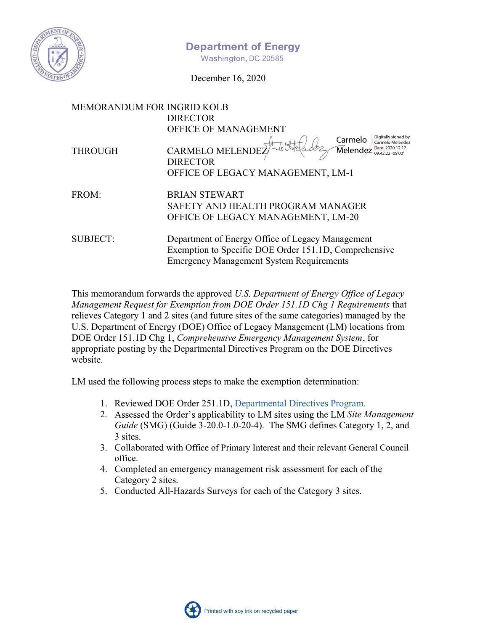

### **Department of Energy**

Washington, DC 20585

December 16, 2020

| <b>MEMORANDUM FOR INGRID KOLB</b>                                                                                                                            |  |  |  |
|--------------------------------------------------------------------------------------------------------------------------------------------------------------|--|--|--|
| <b>DIRECTOR</b>                                                                                                                                              |  |  |  |
| <b>OFFICE OF MANAGEMENT</b>                                                                                                                                  |  |  |  |
| Digitally signed by<br>Carmelo<br>Carmelo Melendez<br><b>CARMELO MELENDE</b><br>$\widehat{\mathsf{M}}$ elendez<br>Date: 2020.12.17<br>$09.42.22 - 05'00'$    |  |  |  |
| <b>DIRECTOR</b>                                                                                                                                              |  |  |  |
| OFFICE OF LEGACY MANAGEMENT, LM-1                                                                                                                            |  |  |  |
|                                                                                                                                                              |  |  |  |
| <b>BRIAN STEWART</b>                                                                                                                                         |  |  |  |
| SAFETY AND HEALTH PROGRAM MANAGER                                                                                                                            |  |  |  |
| OFFICE OF LEGACY MANAGEMENT, LM-20                                                                                                                           |  |  |  |
|                                                                                                                                                              |  |  |  |
| Department of Energy Office of Legacy Management<br>Exemption to Specific DOE Order 151.1D, Comprehensive<br><b>Emergency Management System Requirements</b> |  |  |  |
|                                                                                                                                                              |  |  |  |

This memorandum forwards the approved *U.S. Department of Energy Office of Legacy Management Request for Exemption from DOE Order 151.1D Chg 1 Requirements* that relieves Category 1 and 2 sites (and future sites of the same categories) managed by the U.S. Department of Energy (DOE) Office of Legacy Management (LM) locations from DOE Order 151.1D Chg 1, *Comprehensive Emergency Management System*, for appropriate posting by the Departmental Directives Program on the DOE Directives website.

LM used the following process steps to make the exemption determination:

- 1. Reviewed DOE Order 251.1D, Departmental Directives Program.
- 2. Assessed the Order's applicability to LM sites using the LM Site Management *Guide* (SMG) (Guide 3-20.0-1.0-20-4). The SMG defines Category 1, 2, and 3 sites.
- 3. Collaborated with Office of Primary Interest and their relevant General Council office.
- 4. Completed an emergency management risk assessment for each of the Category 2 sites.
- 5. Conducted All-Hazards Surveys for each of the Category 3 sites.

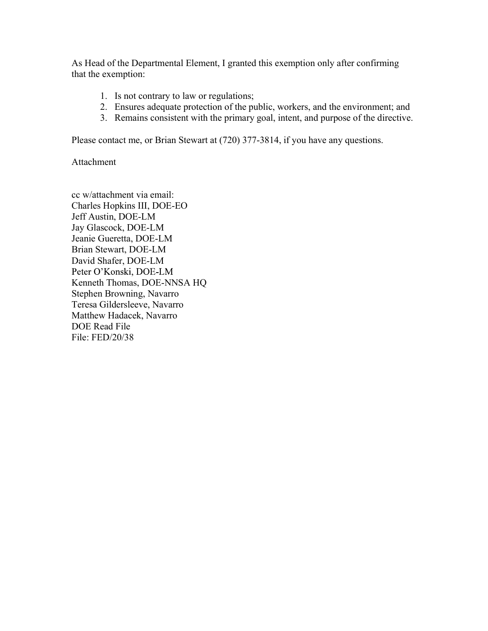As Head of the Departmental Element, I granted this exemption only after confirming that the exemption:

- 1. Is not contrary to law or regulations;
- 2. Ensures adequate protection of the public, workers, and the environment; and
- 3. Remains consistent with the primary goal, intent, and purpose of the directive.

Please contact me, or Brian Stewart at (720) 377-3814, if you have any questions.

Attachment

cc w/attachment via email: Charles Hopkins III, DOE-EO Jeff Austin, DOE-LM Jay Glascock, DOE-LM Jeanie Gueretta, DOE-LM Brian Stewart, DOE-LM David Shafer, DOE-LM Peter O'Konski, DOE-LM Kenneth Thomas, DOE-NNSA HQ Stephen Browning, Navarro Teresa Gildersleeve, Navarro Matthew Hadacek, Navarro DOE Read File File: FED/20/38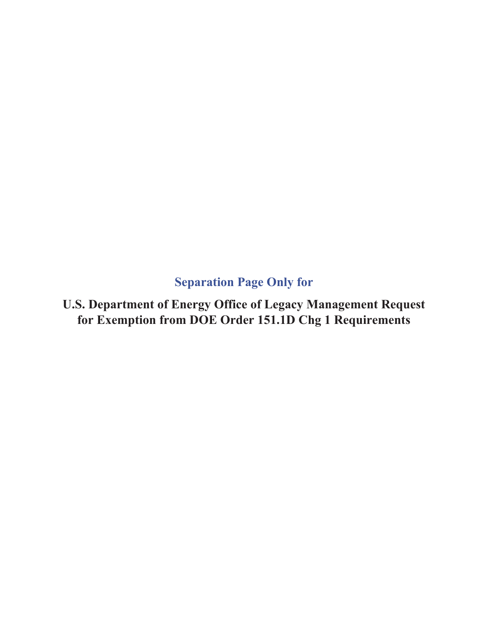**Separation Page Only for** 

**U.S. Department of Energy Office of Legacy Management Request for Exemption from DOE Order 151.1D Chg 1 Requirements**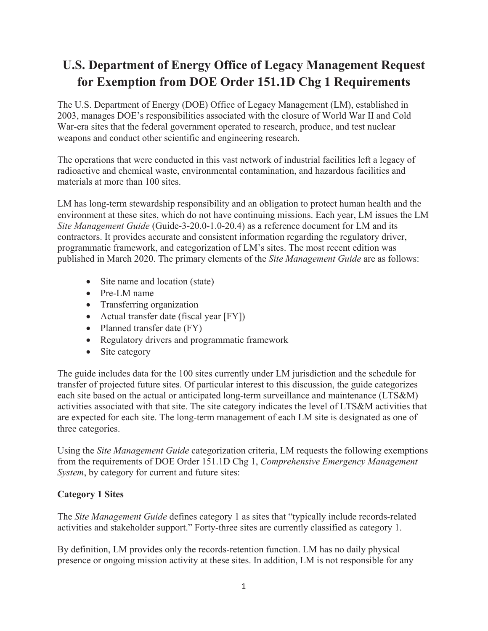# **U.S. Department of Energy Office of Legacy Management Request for Exemption from DOE Order 151.1D Chg 1 Requirements**

The U.S. Department of Energy (DOE) Office of Legacy Management (LM), established in 2003, manages DOE's responsibilities associated with the closure of World War II and Cold War-era sites that the federal government operated to research, produce, and test nuclear weapons and conduct other scientific and engineering research.

The operations that were conducted in this vast network of industrial facilities left a legacy of radioactive and chemical waste, environmental contamination, and hazardous facilities and materials at more than 100 sites.

LM has long-term stewardship responsibility and an obligation to protect human health and the environment at these sites, which do not have continuing missions. Each year, LM issues the LM *Site Management Guide* (Guide-3-20.0-1.0-20.4) as a reference document for LM and its contractors. It provides accurate and consistent information regarding the regulatory driver, programmatic framework, and categorization of LM's sites. The most recent edition was published in March 2020. The primary elements of the *Site Management Guide* are as follows:

- $\bullet$  Site name and location (state)
- $\bullet$  Pre-LM name
- Transferring organization
- Actual transfer date (fiscal year  $[FY]$ )
- Planned transfer date  $(FY)$
- Regulatory drivers and programmatic framework
- $\bullet$  Site category

The guide includes data for the 100 sites currently under LM jurisdiction and the schedule for transfer of projected future sites. Of particular interest to this discussion, the guide categorizes each site based on the actual or anticipated long-term surveillance and maintenance (LTS&M) activities associated with that site. The site category indicates the level of LTS&M activities that are expected for each site. The long-term management of each LM site is designated as one of three categories.

Using the *Site Management Guide* categorization criteria, LM requests the following exemptions from the requirements of DOE Order 151.1D Chg 1, *Comprehensive Emergency Management System*, by category for current and future sites:

#### **Category 1 Sites**

The *Site Management Guide* defines category 1 as sites that "typically include records-related activities and stakeholder support." Forty-three sites are currently classified as category 1.

By definition, LM provides only the records-retention function. LM has no daily physical presence or ongoing mission activity at these sites. In addition, LM is not responsible for any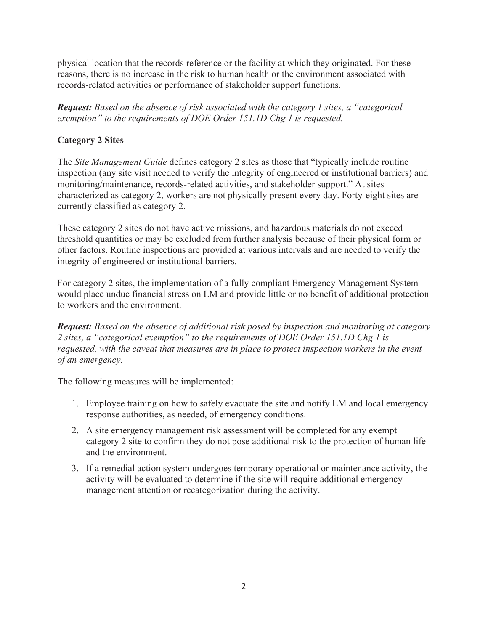physical location that the records reference or the facility at which they originated. For these reasons, there is no increase in the risk to human health or the environment associated with records-related activities or performance of stakeholder support functions.

*Request: Based on the absence of risk associated with the category 1 sites, a "categorical exemption" to the requirements of DOE Order 151.1D Chg 1 is requested.* 

#### **Category 2 Sites**

The *Site Management Guide* defines category 2 sites as those that "typically include routine inspection (any site visit needed to verify the integrity of engineered or institutional barriers) and monitoring/maintenance, records-related activities, and stakeholder support." At sites characterized as category 2, workers are not physically present every day. Forty-eight sites are currently classified as category 2.

These category 2 sites do not have active missions, and hazardous materials do not exceed threshold quantities or may be excluded from further analysis because of their physical form or other factors. Routine inspections are provided at various intervals and are needed to verify the integrity of engineered or institutional barriers.

For category 2 sites, the implementation of a fully compliant Emergency Management System would place undue financial stress on LM and provide little or no benefit of additional protection to workers and the environment.

*Request: Based on the absence of additional risk posed by inspection and monitoring at category 2 sites, a "categorical exemption" to the requirements of DOE Order 151.1D Chg 1 is requested, with the caveat that measures are in place to protect inspection workers in the event of an emergency.*

The following measures will be implemented:

- 1. Employee training on how to safely evacuate the site and notify LM and local emergency response authorities, as needed, of emergency conditions.
- 2. A site emergency management risk assessment will be completed for any exempt category 2 site to confirm they do not pose additional risk to the protection of human life and the environment.
- 3. If a remedial action system undergoes temporary operational or maintenance activity, the activity will be evaluated to determine if the site will require additional emergency management attention or recategorization during the activity.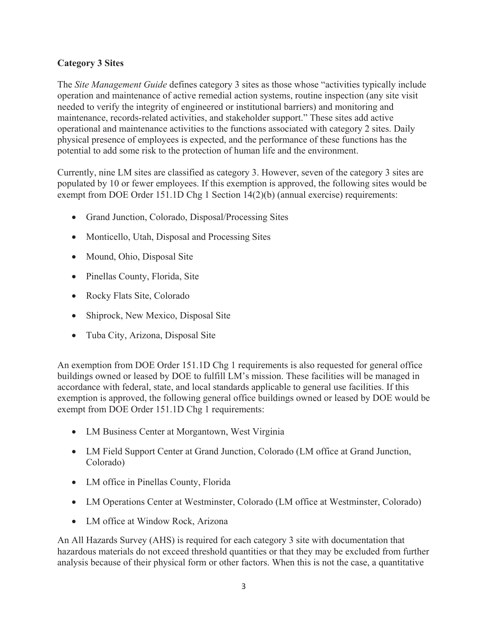#### **Category 3 Sites**

The *Site Management Guide* defines category 3 sites as those whose "activities typically include operation and maintenance of active remedial action systems, routine inspection (any site visit needed to verify the integrity of engineered or institutional barriers) and monitoring and maintenance, records-related activities, and stakeholder support." These sites add active operational and maintenance activities to the functions associated with category 2 sites. Daily physical presence of employees is expected, and the performance of these functions has the potential to add some risk to the protection of human life and the environment.

Currently, nine LM sites are classified as category 3. However, seven of the category 3 sites are populated by 10 or fewer employees. If this exemption is approved, the following sites would be exempt from DOE Order 151.1D Chg 1 Section 14(2)(b) (annual exercise) requirements:

- Grand Junction, Colorado, Disposal/Processing Sites
- Monticello, Utah, Disposal and Processing Sites
- Mound, Ohio, Disposal Site
- Pinellas County, Florida, Site
- Rocky Flats Site, Colorado
- Shiprock, New Mexico, Disposal Site
- Tuba City, Arizona, Disposal Site

An exemption from DOE Order 151.1D Chg 1 requirements is also requested for general office buildings owned or leased by DOE to fulfill LM's mission. These facilities will be managed in accordance with federal, state, and local standards applicable to general use facilities. If this exemption is approved, the following general office buildings owned or leased by DOE would be exempt from DOE Order 151.1D Chg 1 requirements:

- LM Business Center at Morgantown, West Virginia
- LM Field Support Center at Grand Junction, Colorado (LM office at Grand Junction, Colorado)
- LM office in Pinellas County, Florida
- LM Operations Center at Westminster, Colorado (LM office at Westminster, Colorado)
- LM office at Window Rock, Arizona

An All Hazards Survey (AHS) is required for each category 3 site with documentation that hazardous materials do not exceed threshold quantities or that they may be excluded from further analysis because of their physical form or other factors. When this is not the case, a quantitative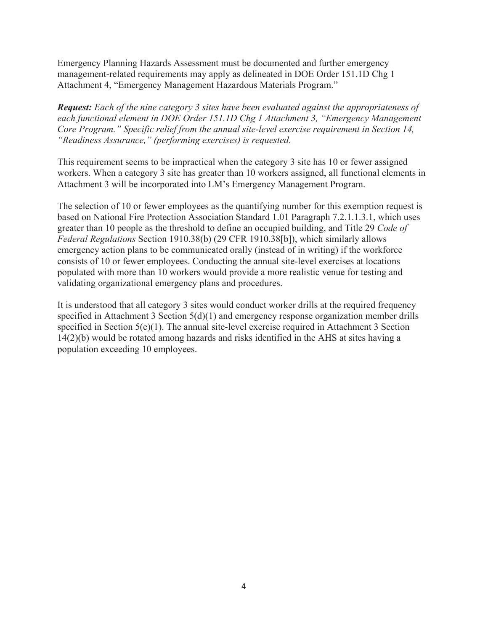Emergency Planning Hazards Assessment must be documented and further emergency management-related requirements may apply as delineated in DOE Order 151.1D Chg 1 Attachment 4, "Emergency Management Hazardous Materials Program."

*Request: Each of the nine category 3 sites have been evaluated against the appropriateness of each functional element in DOE Order 151.1D Chg 1 Attachment 3, "Emergency Management Core Program." Specific relief from the annual site-level exercise requirement in Section 14, "Readiness Assurance," (performing exercises) is requested.* 

This requirement seems to be impractical when the category 3 site has 10 or fewer assigned workers. When a category 3 site has greater than 10 workers assigned, all functional elements in Attachment 3 will be incorporated into LM's Emergency Management Program.

The selection of 10 or fewer employees as the quantifying number for this exemption request is based on National Fire Protection Association Standard 1.01 Paragraph 7.2.1.1.3.1, which uses greater than 10 people as the threshold to define an occupied building, and Title 29 *Code of Federal Regulations* Section 1910.38(b) (29 CFR 1910.38[b]), which similarly allows emergency action plans to be communicated orally (instead of in writing) if the workforce consists of 10 or fewer employees. Conducting the annual site-level exercises at locations populated with more than 10 workers would provide a more realistic venue for testing and validating organizational emergency plans and procedures.

It is understood that all category 3 sites would conduct worker drills at the required frequency specified in Attachment 3 Section 5(d)(1) and emergency response organization member drills specified in Section 5(e)(1). The annual site-level exercise required in Attachment 3 Section 14(2)(b) would be rotated among hazards and risks identified in the AHS at sites having a population exceeding 10 employees.